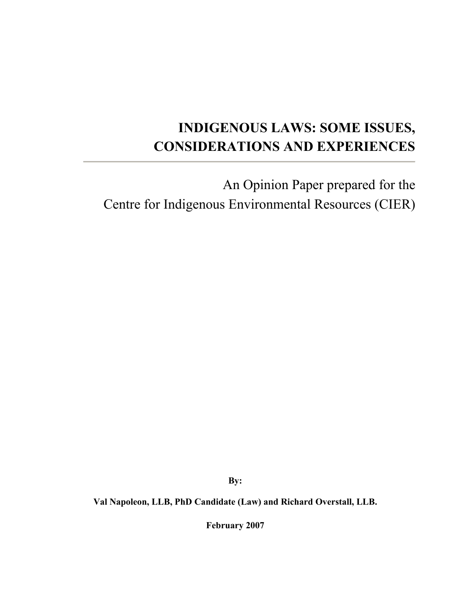# INDIGENOUS LAWS: SOME ISSUES, CONSIDERATIONS AND EXPERIENCES

An Opinion Paper prepared for the Centre for Indigenous Environmental Resources (CIER)

By:

Val Napoleon, LLB, PhD Candidate (Law) and Richard Overstall, LLB.

February 2007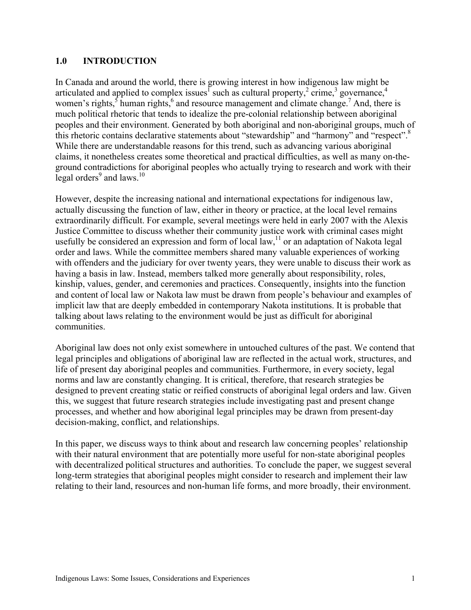## 1.0 INTRODUCTION

In Canada and around the world, there is growing interest in how indigenous law might be articulated and applied to complex issues<sup>1</sup> such as cultural property,<sup>2</sup> crime,<sup>3</sup> governance,<sup>4</sup> women's rights,  $\frac{1}{2}$  human rights,  $\frac{1}{2}$  and resource management and climate change.<sup>7</sup> And, there is much political rhetoric that tends to idealize the pre-colonial relationship between aboriginal peoples and their environment. Generated by both aboriginal and non-aboriginal groups, much of this rhetoric contains declarative statements about "stewardship" and "harmony" and "respect".8 While there are understandable reasons for this trend, such as advancing various aboriginal claims, it nonetheless creates some theoretical and practical difficulties, as well as many on-theground contradictions for aboriginal peoples who actually trying to research and work with their legal orders $9$  and laws.<sup>10</sup>

However, despite the increasing national and international expectations for indigenous law, actually discussing the function of law, either in theory or practice, at the local level remains extraordinarily difficult. For example, several meetings were held in early 2007 with the Alexis Justice Committee to discuss whether their community justice work with criminal cases might usefully be considered an expression and form of local  $\text{law}$ ,  $\text{I}^1$  or an adaptation of Nakota legal order and laws. While the committee members shared many valuable experiences of working with offenders and the judiciary for over twenty years, they were unable to discuss their work as having a basis in law. Instead, members talked more generally about responsibility, roles, kinship, values, gender, and ceremonies and practices. Consequently, insights into the function and content of local law or Nakota law must be drawn from people's behaviour and examples of implicit law that are deeply embedded in contemporary Nakota institutions. It is probable that talking about laws relating to the environment would be just as difficult for aboriginal communities.

Aboriginal law does not only exist somewhere in untouched cultures of the past. We contend that legal principles and obligations of aboriginal law are reflected in the actual work, structures, and life of present day aboriginal peoples and communities. Furthermore, in every society, legal norms and law are constantly changing. It is critical, therefore, that research strategies be designed to prevent creating static or reified constructs of aboriginal legal orders and law. Given this, we suggest that future research strategies include investigating past and present change processes, and whether and how aboriginal legal principles may be drawn from present-day decision-making, conflict, and relationships.

In this paper, we discuss ways to think about and research law concerning peoples' relationship with their natural environment that are potentially more useful for non-state aboriginal peoples with decentralized political structures and authorities. To conclude the paper, we suggest several long-term strategies that aboriginal peoples might consider to research and implement their law relating to their land, resources and non-human life forms, and more broadly, their environment.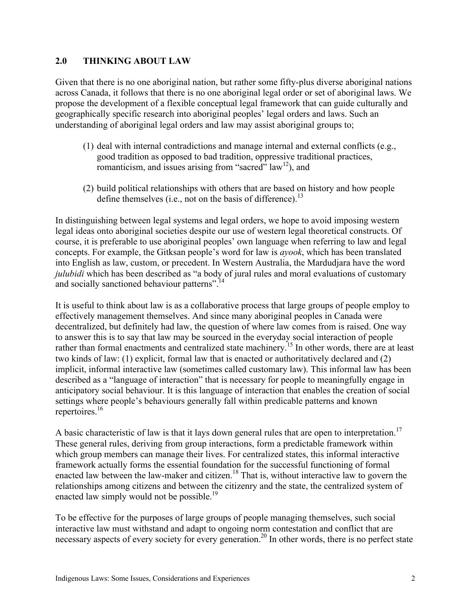## 2.0 THINKING ABOUT LAW

Given that there is no one aboriginal nation, but rather some fifty-plus diverse aboriginal nations across Canada, it follows that there is no one aboriginal legal order or set of aboriginal laws. We propose the development of a flexible conceptual legal framework that can guide culturally and geographically specific research into aboriginal peoples' legal orders and laws. Such an understanding of aboriginal legal orders and law may assist aboriginal groups to;

- (1) deal with internal contradictions and manage internal and external conflicts (e.g., good tradition as opposed to bad tradition, oppressive traditional practices, romanticism, and issues arising from "sacred"  $law<sup>12</sup>$ ), and
- (2) build political relationships with others that are based on history and how people define themselves (i.e., not on the basis of difference).<sup>13</sup>

In distinguishing between legal systems and legal orders, we hope to avoid imposing western legal ideas onto aboriginal societies despite our use of western legal theoretical constructs. Of course, it is preferable to use aboriginal peoples' own language when referring to law and legal concepts. For example, the Gitksan people's word for law is *ayook*, which has been translated into English as law, custom, or precedent. In Western Australia, the Mardudjara have the word *julubidi* which has been described as "a body of jural rules and moral evaluations of customary and socially sanctioned behaviour patterns".14

It is useful to think about law is as a collaborative process that large groups of people employ to effectively management themselves. And since many aboriginal peoples in Canada were decentralized, but definitely had law, the question of where law comes from is raised. One way to answer this is to say that law may be sourced in the everyday social interaction of people rather than formal enactments and centralized state machinery.<sup>15</sup> In other words, there are at least two kinds of law: (1) explicit, formal law that is enacted or authoritatively declared and (2) implicit, informal interactive law (sometimes called customary law). This informal law has been described as a "language of interaction" that is necessary for people to meaningfully engage in anticipatory social behaviour. It is this language of interaction that enables the creation of social settings where people's behaviours generally fall within predicable patterns and known repertoires.16

A basic characteristic of law is that it lays down general rules that are open to interpretation.<sup>17</sup> These general rules, deriving from group interactions, form a predictable framework within which group members can manage their lives. For centralized states, this informal interactive framework actually forms the essential foundation for the successful functioning of formal enacted law between the law-maker and citizen.<sup>18</sup> That is, without interactive law to govern the relationships among citizens and between the citizenry and the state, the centralized system of enacted law simply would not be possible.<sup>19</sup>

To be effective for the purposes of large groups of people managing themselves, such social interactive law must withstand and adapt to ongoing norm contestation and conflict that are necessary aspects of every society for every generation.<sup>20</sup> In other words, there is no perfect state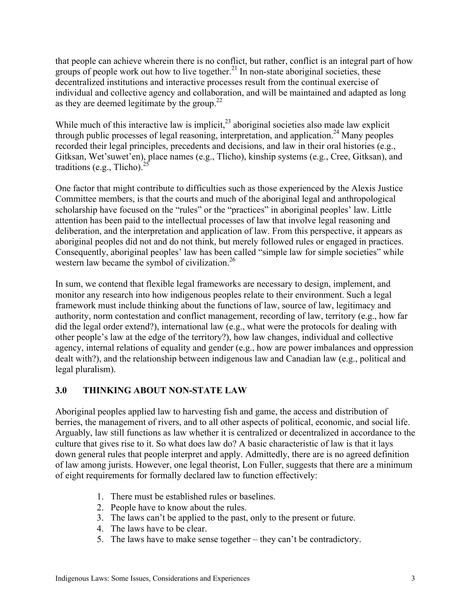that people can achieve wherein there is no conflict, but rather, conflict is an integral part of how groups of people work out how to live together. $^{21}$  In non-state aboriginal societies, these decentralized institutions and interactive processes result from the continual exercise of individual and collective agency and collaboration, and will be maintained and adapted as long as they are deemed legitimate by the group.<sup>22</sup>

While much of this interactive law is implicit,<sup>23</sup> aboriginal societies also made law explicit through public processes of legal reasoning, interpretation, and application.<sup>24</sup> Many peoples recorded their legal principles, precedents and decisions, and law in their oral histories (e.g., Gitksan, Wet'suwet'en), place names (e.g., Tlicho), kinship systems (e.g., Cree, Gitksan), and traditions (e.g., Tlicho). $<sup>2</sup>$ </sup>

One factor that might contribute to difficulties such as those experienced by the Alexis Justice Committee members, is that the courts and much of the aboriginal legal and anthropological scholarship have focused on the "rules" or the "practices" in aboriginal peoples' law. Little attention has been paid to the intellectual processes of law that involve legal reasoning and deliberation, and the interpretation and application of law. From this perspective, it appears as aboriginal peoples did not and do not think, but merely followed rules or engaged in practices. Consequently, aboriginal peoples' law has been called "simple law for simple societies" while western law became the symbol of civilization.<sup>26</sup>

In sum, we contend that flexible legal frameworks are necessary to design, implement, and monitor any research into how indigenous peoples relate to their environment. Such a legal framework must include thinking about the functions of law, source of law, legitimacy and authority, norm contestation and conflict management, recording of law, territory (e.g., how far did the legal order extend?), international law (e.g., what were the protocols for dealing with other people's law at the edge of the territory?), how law changes, individual and collective agency, internal relations of equality and gender (e.g., how are power imbalances and oppression dealt with?), and the relationship between indigenous law and Canadian law (e.g., political and legal pluralism).

# 3.0 THINKING ABOUT NON-STATE LAW

Aboriginal peoples applied law to harvesting fish and game, the access and distribution of berries, the management of rivers, and to all other aspects of political, economic, and social life. Arguably, law still functions as law whether it is centralized or decentralized in accordance to the culture that gives rise to it. So what does law do? A basic characteristic of law is that it lays down general rules that people interpret and apply. Admittedly, there are is no agreed definition of law among jurists. However, one legal theorist, Lon Fuller, suggests that there are a minimum of eight requirements for formally declared law to function effectively:

- 1. There must be established rules or baselines.
- 2. People have to know about the rules.
- 3. The laws can't be applied to the past, only to the present or future.
- 4. The laws have to be clear.
- 5. The laws have to make sense together they can't be contradictory.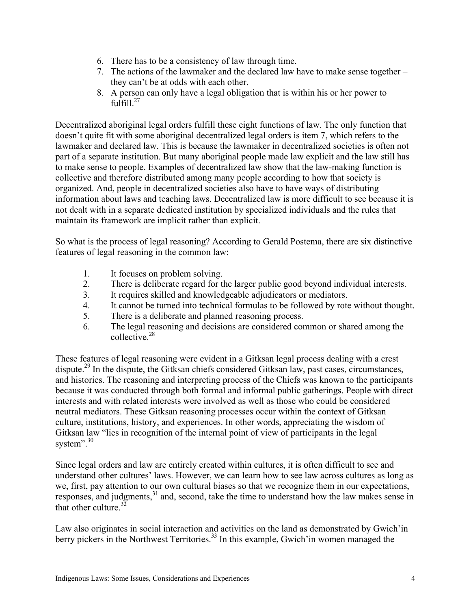- 6. There has to be a consistency of law through time.
- 7. The actions of the lawmaker and the declared law have to make sense together they can't be at odds with each other.
- 8. A person can only have a legal obligation that is within his or her power to  $full<sup>27</sup>$

Decentralized aboriginal legal orders fulfill these eight functions of law. The only function that doesn't quite fit with some aboriginal decentralized legal orders is item 7, which refers to the lawmaker and declared law. This is because the lawmaker in decentralized societies is often not part of a separate institution. But many aboriginal people made law explicit and the law still has to make sense to people. Examples of decentralized law show that the law-making function is collective and therefore distributed among many people according to how that society is organized. And, people in decentralized societies also have to have ways of distributing information about laws and teaching laws. Decentralized law is more difficult to see because it is not dealt with in a separate dedicated institution by specialized individuals and the rules that maintain its framework are implicit rather than explicit.

So what is the process of legal reasoning? According to Gerald Postema, there are six distinctive features of legal reasoning in the common law:

- 1. It focuses on problem solving.
- 2. There is deliberate regard for the larger public good beyond individual interests.
- 3. It requires skilled and knowledgeable adjudicators or mediators.
- 4. It cannot be turned into technical formulas to be followed by rote without thought.
- 5. There is a deliberate and planned reasoning process.
- 6. The legal reasoning and decisions are considered common or shared among the collective<sup>28</sup>

These features of legal reasoning were evident in a Gitksan legal process dealing with a crest dispute.<sup>29</sup> In the dispute, the Gitksan chiefs considered Gitksan law, past cases, circumstances, and histories. The reasoning and interpreting process of the Chiefs was known to the participants because it was conducted through both formal and informal public gatherings. People with direct interests and with related interests were involved as well as those who could be considered neutral mediators. These Gitksan reasoning processes occur within the context of Gitksan culture, institutions, history, and experiences. In other words, appreciating the wisdom of Gitksan law "lies in recognition of the internal point of view of participants in the legal system".<sup>30</sup>

Since legal orders and law are entirely created within cultures, it is often difficult to see and understand other cultures' laws. However, we can learn how to see law across cultures as long as we, first, pay attention to our own cultural biases so that we recognize them in our expectations, responses, and judgments,<sup>31</sup> and, second, take the time to understand how the law makes sense in that other culture. $32$ 

Law also originates in social interaction and activities on the land as demonstrated by Gwich'in berry pickers in the Northwest Territories.<sup>33</sup> In this example, Gwich'in women managed the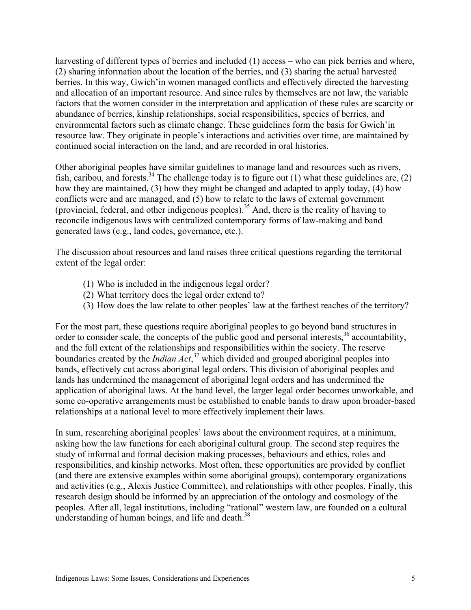harvesting of different types of berries and included (1) access – who can pick berries and where, (2) sharing information about the location of the berries, and (3) sharing the actual harvested berries. In this way, Gwich'in women managed conflicts and effectively directed the harvesting and allocation of an important resource. And since rules by themselves are not law, the variable factors that the women consider in the interpretation and application of these rules are scarcity or abundance of berries, kinship relationships, social responsibilities, species of berries, and environmental factors such as climate change. These guidelines form the basis for Gwich'in resource law. They originate in people's interactions and activities over time, are maintained by continued social interaction on the land, and are recorded in oral histories.

Other aboriginal peoples have similar guidelines to manage land and resources such as rivers, fish, caribou, and forests.<sup>34</sup> The challenge today is to figure out (1) what these guidelines are, (2) how they are maintained, (3) how they might be changed and adapted to apply today, (4) how conflicts were and are managed, and (5) how to relate to the laws of external government (provincial, federal, and other indigenous peoples).<sup>35</sup> And, there is the reality of having to reconcile indigenous laws with centralized contemporary forms of law-making and band generated laws (e.g., land codes, governance, etc.).

The discussion about resources and land raises three critical questions regarding the territorial extent of the legal order:

- (1) Who is included in the indigenous legal order?
- (2) What territory does the legal order extend to?
- (3) How does the law relate to other peoples' law at the farthest reaches of the territory?

For the most part, these questions require aboriginal peoples to go beyond band structures in order to consider scale, the concepts of the public good and personal interests,<sup>36</sup> accountability, and the full extent of the relationships and responsibilities within the society. The reserve boundaries created by the *Indian Act*, 37 which divided and grouped aboriginal peoples into bands, effectively cut across aboriginal legal orders. This division of aboriginal peoples and lands has undermined the management of aboriginal legal orders and has undermined the application of aboriginal laws. At the band level, the larger legal order becomes unworkable, and some co-operative arrangements must be established to enable bands to draw upon broader-based relationships at a national level to more effectively implement their laws.

In sum, researching aboriginal peoples' laws about the environment requires, at a minimum, asking how the law functions for each aboriginal cultural group. The second step requires the study of informal and formal decision making processes, behaviours and ethics, roles and responsibilities, and kinship networks. Most often, these opportunities are provided by conflict (and there are extensive examples within some aboriginal groups), contemporary organizations and activities (e.g., Alexis Justice Committee), and relationships with other peoples. Finally, this research design should be informed by an appreciation of the ontology and cosmology of the peoples. After all, legal institutions, including "rational" western law, are founded on a cultural understanding of human beings, and life and death. $38$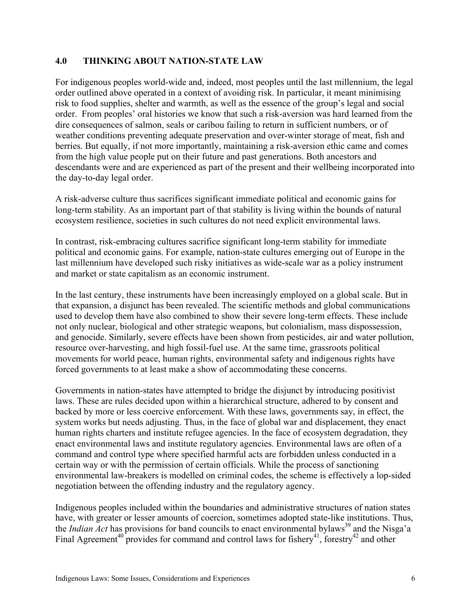## 4.0 THINKING ABOUT NATION-STATE LAW

For indigenous peoples world-wide and, indeed, most peoples until the last millennium, the legal order outlined above operated in a context of avoiding risk. In particular, it meant minimising risk to food supplies, shelter and warmth, as well as the essence of the group's legal and social order. From peoples' oral histories we know that such a risk-aversion was hard learned from the dire consequences of salmon, seals or caribou failing to return in sufficient numbers, or of weather conditions preventing adequate preservation and over-winter storage of meat, fish and berries. But equally, if not more importantly, maintaining a risk-aversion ethic came and comes from the high value people put on their future and past generations. Both ancestors and descendants were and are experienced as part of the present and their wellbeing incorporated into the day-to-day legal order.

A risk-adverse culture thus sacrifices significant immediate political and economic gains for long-term stability. As an important part of that stability is living within the bounds of natural ecosystem resilience, societies in such cultures do not need explicit environmental laws.

In contrast, risk-embracing cultures sacrifice significant long-term stability for immediate political and economic gains. For example, nation-state cultures emerging out of Europe in the last millennium have developed such risky initiatives as wide-scale war as a policy instrument and market or state capitalism as an economic instrument.

In the last century, these instruments have been increasingly employed on a global scale. But in that expansion, a disjunct has been revealed. The scientific methods and global communications used to develop them have also combined to show their severe long-term effects. These include not only nuclear, biological and other strategic weapons, but colonialism, mass dispossession, and genocide. Similarly, severe effects have been shown from pesticides, air and water pollution, resource over-harvesting, and high fossil-fuel use. At the same time, grassroots political movements for world peace, human rights, environmental safety and indigenous rights have forced governments to at least make a show of accommodating these concerns.

Governments in nation-states have attempted to bridge the disjunct by introducing positivist laws. These are rules decided upon within a hierarchical structure, adhered to by consent and backed by more or less coercive enforcement. With these laws, governments say, in effect, the system works but needs adjusting. Thus, in the face of global war and displacement, they enact human rights charters and institute refugee agencies. In the face of ecosystem degradation, they enact environmental laws and institute regulatory agencies. Environmental laws are often of a command and control type where specified harmful acts are forbidden unless conducted in a certain way or with the permission of certain officials. While the process of sanctioning environmental law-breakers is modelled on criminal codes, the scheme is effectively a lop-sided negotiation between the offending industry and the regulatory agency.

Indigenous peoples included within the boundaries and administrative structures of nation states have, with greater or lesser amounts of coercion, sometimes adopted state-like institutions. Thus, the *Indian Act* has provisions for band councils to enact environmental bylaws<sup>39</sup> and the Nisga'a Final Agreement<sup>40</sup> provides for command and control laws for fishery<sup>41</sup>, forestry<sup>42</sup> and other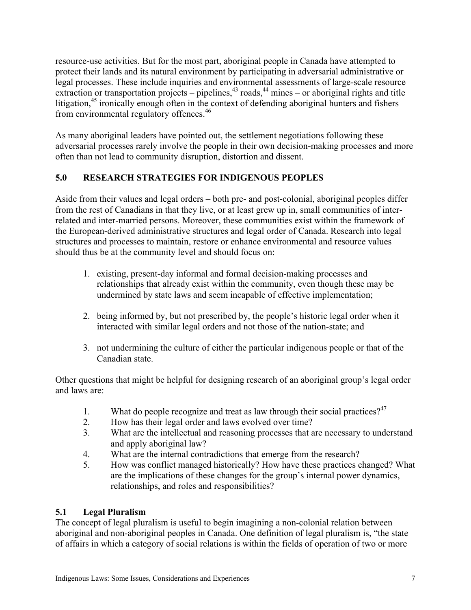resource-use activities. But for the most part, aboriginal people in Canada have attempted to protect their lands and its natural environment by participating in adversarial administrative or legal processes. These include inquiries and environmental assessments of large-scale resource extraction or transportation projects – pipelines, $43$  roads, $44$  mines – or aboriginal rights and title litigation,<sup>45</sup> ironically enough often in the context of defending aboriginal hunters and fishers from environmental regulatory offences.<sup>46</sup>

As many aboriginal leaders have pointed out, the settlement negotiations following these adversarial processes rarely involve the people in their own decision-making processes and more often than not lead to community disruption, distortion and dissent.

# 5.0 RESEARCH STRATEGIES FOR INDIGENOUS PEOPLES

Aside from their values and legal orders – both pre- and post-colonial, aboriginal peoples differ from the rest of Canadians in that they live, or at least grew up in, small communities of interrelated and inter-married persons. Moreover, these communities exist within the framework of the European-derived administrative structures and legal order of Canada. Research into legal structures and processes to maintain, restore or enhance environmental and resource values should thus be at the community level and should focus on:

- 1. existing, present-day informal and formal decision-making processes and relationships that already exist within the community, even though these may be undermined by state laws and seem incapable of effective implementation;
- 2. being informed by, but not prescribed by, the people's historic legal order when it interacted with similar legal orders and not those of the nation-state; and
- 3. not undermining the culture of either the particular indigenous people or that of the Canadian state.

Other questions that might be helpful for designing research of an aboriginal group's legal order and laws are:

- 1. What do people recognize and treat as law through their social practices? $47$
- 2. How has their legal order and laws evolved over time?
- 3. What are the intellectual and reasoning processes that are necessary to understand and apply aboriginal law?
- 4. What are the internal contradictions that emerge from the research?
- 5. How was conflict managed historically? How have these practices changed? What are the implications of these changes for the group's internal power dynamics, relationships, and roles and responsibilities?

# 5.1 Legal Pluralism

The concept of legal pluralism is useful to begin imagining a non-colonial relation between aboriginal and non-aboriginal peoples in Canada. One definition of legal pluralism is, "the state of affairs in which a category of social relations is within the fields of operation of two or more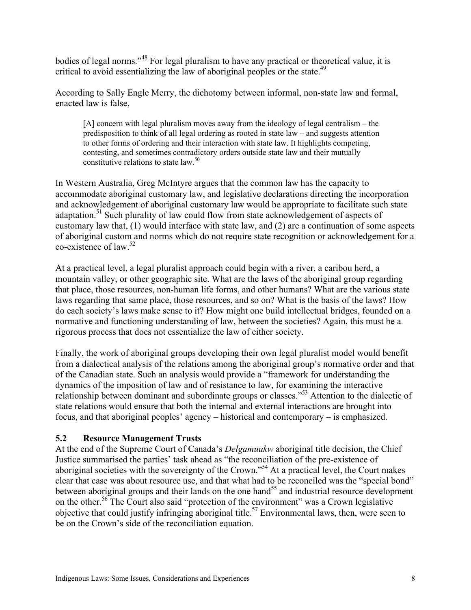bodies of legal norms."<sup>48</sup> For legal pluralism to have any practical or theoretical value, it is critical to avoid essentializing the law of aboriginal peoples or the state.<sup>49</sup>

According to Sally Engle Merry, the dichotomy between informal, non-state law and formal, enacted law is false,

[A] concern with legal pluralism moves away from the ideology of legal centralism – the predisposition to think of all legal ordering as rooted in state law – and suggests attention to other forms of ordering and their interaction with state law. It highlights competing, contesting, and sometimes contradictory orders outside state law and their mutually constitutive relations to state law.<sup>50</sup>

In Western Australia, Greg McIntyre argues that the common law has the capacity to accommodate aboriginal customary law, and legislative declarations directing the incorporation and acknowledgement of aboriginal customary law would be appropriate to facilitate such state adaptation.<sup>51</sup> Such plurality of law could flow from state acknowledgement of aspects of customary law that, (1) would interface with state law, and (2) are a continuation of some aspects of aboriginal custom and norms which do not require state recognition or acknowledgement for a co-existence of law.52

At a practical level, a legal pluralist approach could begin with a river, a caribou herd, a mountain valley, or other geographic site. What are the laws of the aboriginal group regarding that place, those resources, non-human life forms, and other humans? What are the various state laws regarding that same place, those resources, and so on? What is the basis of the laws? How do each society's laws make sense to it? How might one build intellectual bridges, founded on a normative and functioning understanding of law, between the societies? Again, this must be a rigorous process that does not essentialize the law of either society.

Finally, the work of aboriginal groups developing their own legal pluralist model would benefit from a dialectical analysis of the relations among the aboriginal group's normative order and that of the Canadian state. Such an analysis would provide a "framework for understanding the dynamics of the imposition of law and of resistance to law, for examining the interactive relationship between dominant and subordinate groups or classes."<sup>53</sup> Attention to the dialectic of state relations would ensure that both the internal and external interactions are brought into focus, and that aboriginal peoples' agency – historical and contemporary – is emphasized.

## 5.2 Resource Management Trusts

At the end of the Supreme Court of Canada's *Delgamuukw* aboriginal title decision, the Chief Justice summarised the parties' task ahead as "the reconciliation of the pre-existence of aboriginal societies with the sovereignty of the Crown."<sup>54</sup> At a practical level, the Court makes clear that case was about resource use, and that what had to be reconciled was the "special bond" between aboriginal groups and their lands on the one hand<sup>55</sup> and industrial resource development on the other.<sup>56</sup> The Court also said "protection of the environment" was a Crown legislative objective that could justify infringing aboriginal title.<sup>57</sup> Environmental laws, then, were seen to be on the Crown's side of the reconciliation equation.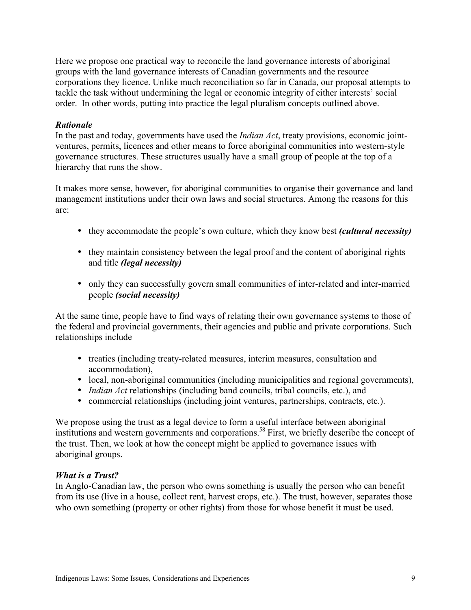Here we propose one practical way to reconcile the land governance interests of aboriginal groups with the land governance interests of Canadian governments and the resource corporations they licence. Unlike much reconciliation so far in Canada, our proposal attempts to tackle the task without undermining the legal or economic integrity of either interests' social order. In other words, putting into practice the legal pluralism concepts outlined above.

#### *Rationale*

In the past and today, governments have used the *Indian Act*, treaty provisions, economic jointventures, permits, licences and other means to force aboriginal communities into western-style governance structures. These structures usually have a small group of people at the top of a hierarchy that runs the show.

It makes more sense, however, for aboriginal communities to organise their governance and land management institutions under their own laws and social structures. Among the reasons for this are:

- they accommodate the people's own culture, which they know best *(cultural necessity)*
- they maintain consistency between the legal proof and the content of aboriginal rights and title *(legal necessity)*
- only they can successfully govern small communities of inter-related and inter-married people *(social necessity)*

At the same time, people have to find ways of relating their own governance systems to those of the federal and provincial governments, their agencies and public and private corporations. Such relationships include

- treaties (including treaty-related measures, interim measures, consultation and accommodation),
- local, non-aboriginal communities (including municipalities and regional governments),
- *Indian Act* relationships (including band councils, tribal councils, etc.), and
- commercial relationships (including joint ventures, partnerships, contracts, etc.).

We propose using the trust as a legal device to form a useful interface between aboriginal institutions and western governments and corporations.<sup>58</sup> First, we briefly describe the concept of the trust. Then, we look at how the concept might be applied to governance issues with aboriginal groups.

#### *What is a Trust?*

In Anglo-Canadian law, the person who owns something is usually the person who can benefit from its use (live in a house, collect rent, harvest crops, etc.). The trust, however, separates those who own something (property or other rights) from those for whose benefit it must be used.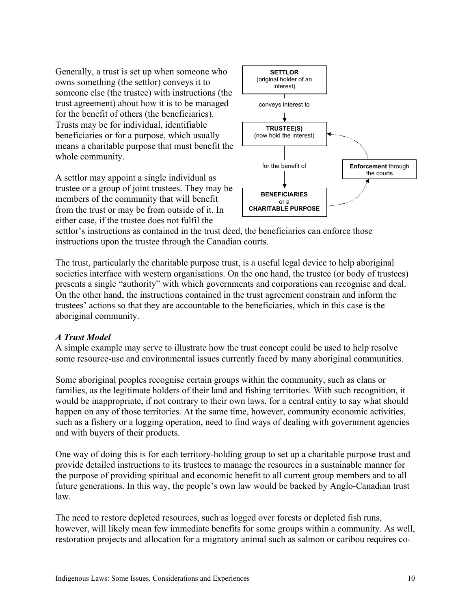Generally, a trust is set up when someone who owns something (the settlor) conveys it to someone else (the trustee) with instructions (the trust agreement) about how it is to be managed for the benefit of others (the beneficiaries). Trusts may be for individual, identifiable beneficiaries or for a purpose, which usually means a charitable purpose that must benefit the whole community.

A settlor may appoint a single individual as trustee or a group of joint trustees. They may be members of the community that will benefit from the trust or may be from outside of it. In either case, if the trustee does not fulfil the



settlor's instructions as contained in the trust deed, the beneficiaries can enforce those instructions upon the trustee through the Canadian courts.

The trust, particularly the charitable purpose trust, is a useful legal device to help aboriginal societies interface with western organisations. On the one hand, the trustee (or body of trustees) presents a single "authority" with which governments and corporations can recognise and deal. On the other hand, the instructions contained in the trust agreement constrain and inform the trustees' actions so that they are accountable to the beneficiaries, which in this case is the aboriginal community.

#### *A Trust Model*

A simple example may serve to illustrate how the trust concept could be used to help resolve some resource-use and environmental issues currently faced by many aboriginal communities.

Some aboriginal peoples recognise certain groups within the community, such as clans or families, as the legitimate holders of their land and fishing territories. With such recognition, it would be inappropriate, if not contrary to their own laws, for a central entity to say what should happen on any of those territories. At the same time, however, community economic activities, such as a fishery or a logging operation, need to find ways of dealing with government agencies and with buyers of their products.

One way of doing this is for each territory-holding group to set up a charitable purpose trust and provide detailed instructions to its trustees to manage the resources in a sustainable manner for the purpose of providing spiritual and economic benefit to all current group members and to all future generations. In this way, the people's own law would be backed by Anglo-Canadian trust law.

The need to restore depleted resources, such as logged over forests or depleted fish runs, however, will likely mean few immediate benefits for some groups within a community. As well, restoration projects and allocation for a migratory animal such as salmon or caribou requires co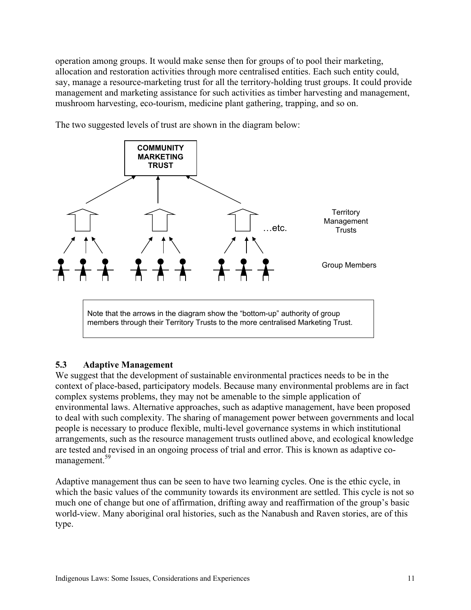operation among groups. It would make sense then for groups of to pool their marketing, allocation and restoration activities through more centralised entities. Each such entity could, say, manage a resource-marketing trust for all the territory-holding trust groups. It could provide management and marketing assistance for such activities as timber harvesting and management, mushroom harvesting, eco-tourism, medicine plant gathering, trapping, and so on.



The two suggested levels of trust are shown in the diagram below:

## 5.3 Adaptive Management

We suggest that the development of sustainable environmental practices needs to be in the context of place-based, participatory models. Because many environmental problems are in fact complex systems problems, they may not be amenable to the simple application of environmental laws. Alternative approaches, such as adaptive management, have been proposed to deal with such complexity. The sharing of management power between governments and local people is necessary to produce flexible, multi-level governance systems in which institutional arrangements, such as the resource management trusts outlined above, and ecological knowledge are tested and revised in an ongoing process of trial and error. This is known as adaptive comanagement.<sup>59</sup>

Adaptive management thus can be seen to have two learning cycles. One is the ethic cycle, in which the basic values of the community towards its environment are settled. This cycle is not so much one of change but one of affirmation, drifting away and reaffirmation of the group's basic world-view. Many aboriginal oral histories, such as the Nanabush and Raven stories, are of this type.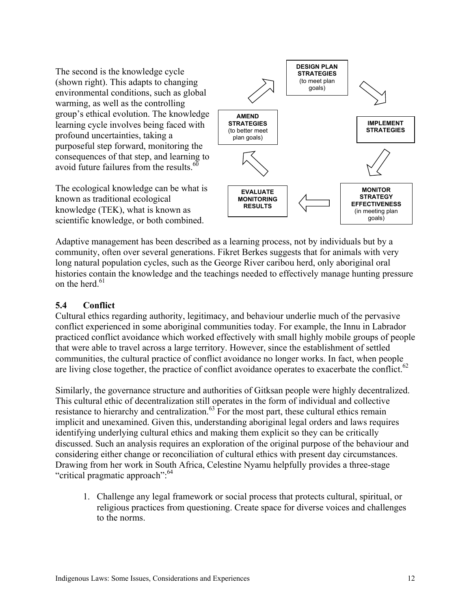The second is the knowledge cycle (shown right). This adapts to changing environmental conditions, such as global warming, as well as the controlling group's ethical evolution. The knowledge learning cycle involves being faced with profound uncertainties, taking a purposeful step forward, monitoring the consequences of that step, and learning to avoid future failures from the results. $60$ 

The ecological knowledge can be what is known as traditional ecological knowledge (TEK), what is known as scientific knowledge, or both combined.



Adaptive management has been described as a learning process, not by individuals but by a community, often over several generations. Fikret Berkes suggests that for animals with very long natural population cycles, such as the George River caribou herd, only aboriginal oral histories contain the knowledge and the teachings needed to effectively manage hunting pressure on the herd  $61$ 

# 5.4 Conflict

Cultural ethics regarding authority, legitimacy, and behaviour underlie much of the pervasive conflict experienced in some aboriginal communities today. For example, the Innu in Labrador practiced conflict avoidance which worked effectively with small highly mobile groups of people that were able to travel across a large territory. However, since the establishment of settled communities, the cultural practice of conflict avoidance no longer works. In fact, when people are living close together, the practice of conflict avoidance operates to exacerbate the conflict.<sup>62</sup>

Similarly, the governance structure and authorities of Gitksan people were highly decentralized. This cultural ethic of decentralization still operates in the form of individual and collective resistance to hierarchy and centralization.<sup>63</sup> For the most part, these cultural ethics remain implicit and unexamined. Given this, understanding aboriginal legal orders and laws requires identifying underlying cultural ethics and making them explicit so they can be critically discussed. Such an analysis requires an exploration of the original purpose of the behaviour and considering either change or reconciliation of cultural ethics with present day circumstances. Drawing from her work in South Africa, Celestine Nyamu helpfully provides a three-stage "critical pragmatic approach":<sup>64</sup>

1. Challenge any legal framework or social process that protects cultural, spiritual, or religious practices from questioning. Create space for diverse voices and challenges to the norms.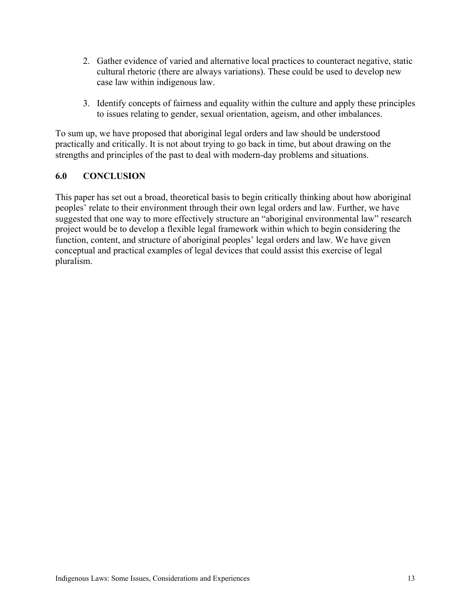- 2. Gather evidence of varied and alternative local practices to counteract negative, static cultural rhetoric (there are always variations). These could be used to develop new case law within indigenous law.
- 3. Identify concepts of fairness and equality within the culture and apply these principles to issues relating to gender, sexual orientation, ageism, and other imbalances.

To sum up, we have proposed that aboriginal legal orders and law should be understood practically and critically. It is not about trying to go back in time, but about drawing on the strengths and principles of the past to deal with modern-day problems and situations.

## 6.0 CONCLUSION

This paper has set out a broad, theoretical basis to begin critically thinking about how aboriginal peoples' relate to their environment through their own legal orders and law. Further, we have suggested that one way to more effectively structure an "aboriginal environmental law" research project would be to develop a flexible legal framework within which to begin considering the function, content, and structure of aboriginal peoples' legal orders and law. We have given conceptual and practical examples of legal devices that could assist this exercise of legal pluralism.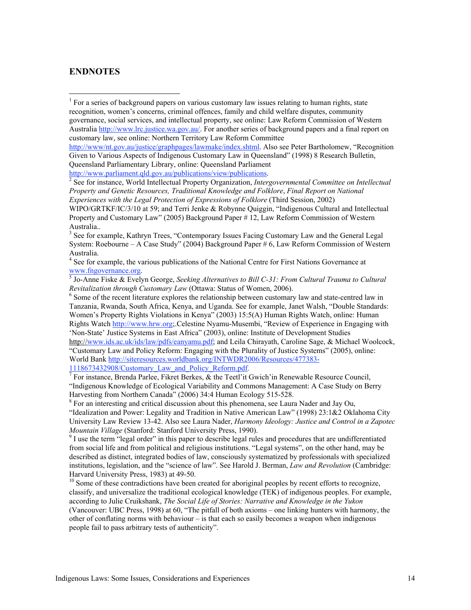#### ENDNOTES

http://www.parliament.qld.gov.au/publications/view/publications. <sup>2</sup>

<sup>2</sup> See for instance, World Intellectual Property Organization, *Intergovernmental Committee on Intellectual Property and Genetic Resources, Traditional Knowledge and Folklore*, *Final Report on National Experiences with the Legal Protection of Expressions of Folklore* (Third Session, 2002)

WIPO/GRTKF/IC/3/10 at 59; and Terri Jenke & Robynne Quiggin, "Indigenous Cultural and Intellectual Property and Customary Law" (2005) Background Paper # 12, Law Reform Commission of Western Australia..

<sup>3</sup> See for example, Kathryn Trees, "Contemporary Issues Facing Customary Law and the General Legal System: Roebourne – A Case Study" (2004) Background Paper # 6, Law Reform Commission of Western Australia.

<sup>4</sup> See for example, the various publications of the National Centre for First Nations Governance at www.fngovernance.org.<br><sup>5</sup> Jo-Anne Fiske & Evelyn George, *Seeking Alternatives to Bill C-31: From Cultural Trauma to Cultural* 

*Revitalization through Customary Law* (Ottawa: Status of Women, 2006).

<sup>6</sup> Some of the recent literature explores the relationship between customary law and state-centred law in Tanzania, Rwanda, South Africa, Kenya, and Uganda. See for example, Janet Walsh, "Double Standards: Women's Property Rights Violations in Kenya" (2003) 15:5(A) Human Rights Watch, online: Human Rights Watch http://www.hrw.org;.Celestine Nyamu-Musembi, "Review of Experience in Engaging with 'Non-State' Justice Systems in East Africa" (2003), online: Institute of Development Studies

http://www.ids.ac.uk/ids/law/pdfs/eanyamu.pdf; and Leila Chirayath, Caroline Sage, & Michael Woolcock, "Customary Law and Policy Reform: Engaging with the Plurality of Justice Systems" (2005), online: World Bank http://siteresources.worldbank.org/INTWDR2006/Resources/477383-

1118673432908/Customary\_Law\_and\_Policy\_Reform.pdf.<br><sup>7</sup> For instance, Brenda Parlee, Fikret Berkes, & the Teetl'it Gwich'in Renewable Resource Council, "Indigenous Knowledge of Ecological Variability and Commons Management: A Case Study on Berry Harvesting from Northern Canada" (2006) 34:4 Human Ecology 515-528.

<sup>8</sup> For an interesting and critical discussion about this phenomena, see Laura Nader and Jay Ou,

"Idealization and Power: Legality and Tradition in Native American Law" (1998) 23:1&2 Oklahoma City University Law Review 13-42. Also see Laura Nader, *Harmony Ideology: Justice and Control in a Zapotec Mountain Village* (Stanford: Stanford University Press, 1990).

 $\degree$  I use the term "legal order" in this paper to describe legal rules and procedures that are undifferentiated from social life and from political and religious institutions. "Legal systems", on the other hand, may be described as distinct, integrated bodies of law, consciously systematized by professionals with specialized institutions, legislation, and the "science of law". See Harold J. Berman, *Law and Revolution* (Cambridge: Harvard University Press, 1983) at 49-50.

<sup>10</sup> Some of these contradictions have been created for aboriginal peoples by recent efforts to recognize, classify, and universalize the traditional ecological knowledge (TEK) of indigenous peoples. For example, according to Julie Cruikshank, *The Social Life of Stories: Narrative and Knowledge in the Yukon* (Vancouver: UBC Press, 1998) at 60, "The pitfall of both axioms – one linking hunters with harmony, the other of conflating norms with behaviour – is that each so easily becomes a weapon when indigenous people fail to pass arbitrary tests of authenticity".

 $\frac{1}{1}$  $1$  For a series of background papers on various customary law issues relating to human rights, state recognition, women's concerns, criminal offences, family and child welfare disputes, community governance, social services, and intellectual property, see online: Law Reform Commission of Western Australia http://www.lrc.justice.wa.gov.au/. For another series of background papers and a final report on customary law, see online: Northern Territory Law Reform Committee

http://www/nt.gov.au/justice/graphpages/lawmake/index.shtml. Also see Peter Bartholomew, "Recognition Given to Various Aspects of Indigenous Customary Law in Queensland" (1998) 8 Research Bulletin, Queensland Parliamentary Library, online: Queensland Parliament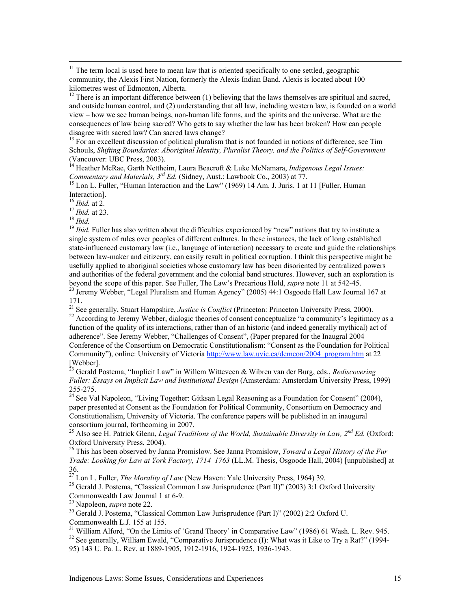<sup>11</sup> The term local is used here to mean law that is oriented specifically to one settled, geographic community, the Alexis First Nation, formerly the Alexis Indian Band. Alexis is located about 100 kilometres west of Edmonton, Alberta.

 $12$  There is an important difference between (1) believing that the laws themselves are spiritual and sacred, and outside human control, and (2) understanding that all law, including western law, is founded on a world view – how we see human beings, non-human life forms, and the spirits and the universe. What are the consequences of law being sacred? Who gets to say whether the law has been broken? How can people disagree with sacred law? Can sacred laws change?

<sup>13</sup> For an excellent discussion of political pluralism that is not founded in notions of difference, see Tim Schouls, *Shifting Boundaries: Aboriginal Identity, Pluralist Theory, and the Politics of Self-Government*

(Vancouver: UBC Press, 2003). 14 Heather McRae, Garth Nettheim, Laura Beacroft & Luke McNamara, *Indigenous Legal Issues: Commentary and Materials,*  $3^{rd}$  *Ed.* (Sidney, Aust.: Lawbook Co., 2003) at  $77$ .

<sup>15</sup> Lon L. Fuller, "Human Interaction and the Law" (1969) 14 Am. J. Juris. 1 at 11 [Fuller, Human Interaction].<br><sup>16</sup>*Ibid.* at 2.

<sup>17</sup> *Ibid.* at 23.<br><sup>18</sup> *Ibid.* Fuller has also written about the difficulties experienced by "new" nations that try to institute a<br><sup>19</sup> *Ibid.* Fuller has also written about the difficulties experienced by "new" nations single system of rules over peoples of different cultures. In these instances, the lack of long established state-influenced customary law (i.e., language of interaction) necessary to create and guide the relationships between law-maker and citizenry, can easily result in political corruption. I think this perspective might be usefully applied to aboriginal societies whose customary law has been disoriented by centralized powers and authorities of the federal government and the colonial band structures. However, such an exploration is beyond the scope of this paper. See Fuller, The Law's Precarious Hold, *supra* note 11 at 542-45. <sup>20</sup> <sup>20</sup> Jeremy Webber, "Legal Pluralism and Human Agency" (2005) 44:1 Osgoode Hall Law Journal 167 at

171.

<sup>21</sup> See generally, Stuart Hampshire, *Justice is Conflict* (Princeton: Princeton University Press, 2000).<br><sup>22</sup> According to Jaramy Wahbar, dialogic theories of consent concentralize "o community" logitime

<sup>22</sup> According to Jeremy Webber, dialogic theories of consent conceptualize "a community's legitimacy as a function of the quality of its interactions, rather than of an historic (and indeed generally mythical) act of adherence". See Jeremy Webber, "Challenges of Consent", (Paper prepared for the Inaugral 2004 Conference of the Consortium on Democratic Constitutionalism: "Consent as the Foundation for Political Community"), online: University of Victoria http://www.law.uvic.ca/demcon/2004\_program.htm at 22 [Webber]. 23 Gerald Postema, "Implicit Law" in Willem Witteveen & Wibren van der Burg, eds., *Rediscovering*

*Fuller: Essays on Implicit Law and Institutional Design* (Amsterdam: Amsterdam University Press, 1999) 255-275.

<sup>24</sup> See Val Napoleon, "Living Together: Gitksan Legal Reasoning as a Foundation for Consent" (2004), paper presented at Consent as the Foundation for Political Community, Consortium on Democracy and Constitutionalism, University of Victoria. The conference papers will be published in an inaugural consortium journal, forthcoming in 2007.

25 Also see H. Patrick Glenn, *Legal Traditions of the World, Sustainable Diversity in Law, 2nd Ed.* (Oxford: Oxford University Press, 2004).

26 This has been observed by Janna Promislow. See Janna Promislow, *Toward a Legal History of the Fur Trade: Looking for Law at York Factory, 1714–1763* (LL.M. Thesis, Osgoode Hall, 2004) [unpublished] at 36.

<sup>27</sup> Lon L. Fuller, *The Morality of Law* (New Haven: Yale University Press, 1964) 39.<br><sup>28</sup> Gerald L. Postama, "Classical Common Law Jurianudance (Part II)" (2003) 3:1 O

<sup>28</sup> Gerald J. Postema, "Classical Common Law Jurisprudence (Part II)" (2003) 3:1 Oxford University Commonwealth Law Journal 1 at 6-9.

<sup>29</sup> Napoleon, *supra* note 22.<br><sup>30</sup> Gorald L Bostoma "Class"

<sup>30</sup> Gerald J. Postema, "Classical Common Law Jurisprudence (Part I)" (2002) 2:2 Oxford U. Commonwealth L.J. 155 at 155.

<sup>31</sup> William Alford, "On the Limits of 'Grand Theory' in Comparative Law" (1986) 61 Wash. L. Rev. 945. <sup>32</sup> See generally, William Ewald, "Comparative Jurisprudence (I): What was it Like to Try a Rat?" (1994-95) 143 U. Pa. L. Rev. at 1889-1905, 1912-1916, 1924-1925, 1936-1943.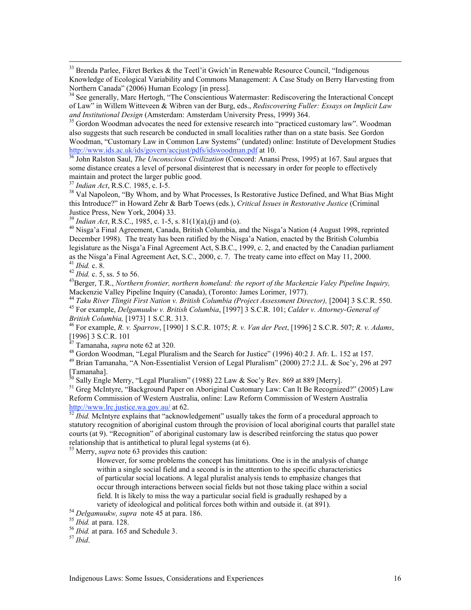<sup>33</sup> Brenda Parlee, Fikret Berkes & the Teetl'it Gwich'in Renewable Resource Council, "Indigenous Knowledge of Ecological Variability and Commons Management: A Case Study on Berry Harvesting from Northern Canada" (2006) Human Ecology [in press].

<sup>34</sup> See generally, Marc Hertogh, "The Conscientious Watermaster: Rediscovering the Interactional Concept of Law" in Willem Witteveen & Wibren van der Burg, eds., *Rediscovering Fuller: Essays on Implicit Law* and Institutional Design (Amsterdam: Amsterdam University Press, 1999) 364.

<sup>35</sup> Gordon Woodman advocates the need for extensive research into "practiced customary law". Woodman also suggests that such research be conducted in small localities rather than on a state basis. See Gordon Woodman, "Customary Law in Common Law Systems" (undated) online: Institute of Development Studies

http://www.ids.ac.uk/ids/govern/accjust/pdfs/idswoodman.pdf at 10. <sup>36</sup> John Ralston Saul, *The Unconscious Civilization* (Concord: Anansi Press, 1995) at 167. Saul argues that some distance creates a level of personal disinterest that is necessary in order for people to effectively maintain and protect the larger public good.

<sup>37</sup> *Indian Act*, R.S.C. 1985, c. I-5.

<sup>38</sup> Val Napoleon, "By Whom, and by What Processes, Is Restorative Justice Defined, and What Bias Might this Introduce?" in Howard Zehr & Barb Toews (eds.), *Critical Issues in Restorative Justice* (Criminal Justice Press, New York, 2004) 33.

<sup>39</sup> *Indian Act*, R.S.C., 1985, c. 1-5, s. 81(1)(a),(j) and (o).

<sup>40</sup> Nisga'a Final Agreement, Canada, British Columbia, and the Nisga'a Nation (4 August 1998, reprinted December 1998). The treaty has been ratified by the Nisga'a Nation, enacted by the British Columbia legislature as the Nisga'a Final Agreement Act, S.B.C., 1999, c. 2, and enacted by the Canadian parliament as the Nisga'a Final Agreement Act, S.C., 2000, c. 7. The treaty came into effect on May 11, 2000.<br><sup>41</sup> *Ibid.* c. 8.

<sup>41</sup> *Ibid.* c. 8. <sup>42</sup> *Ibid.* c. 5, ss. 5 to 56. <sup>43</sup>

<sup>43</sup>Berger, T.R., *Northern frontier, northern homeland: the report of the Mackenzie Valey Pipeline Inquiry,* Mackenzie Valley Pipeline Inquiry (Canada), (Toronto: James Lorimer, 1977).

<sup>44</sup> Taku River Tlingit First Nation v. British Columbia (Project Assessment Director), [2004] 3 S.C.R. 550. For example, *Delgamuukw v. British Columbia*, [1997] 3 S.C.R. 101; *Calder v. Attorney-General of British Columbia,* [1973] 1 S.C.R. 313. <sup>46</sup>

For example, *R. v. Sparrow*, [1990] 1 S.C.R. 1075; *R. v. Van der Peet*, [1996] 2 S.C.R. 507; *R. v. Adams*,

[1996] 3 S.C.R. 101 47 Tamanaha, *supra* note 62 at 320. <sup>48</sup>

Gordon Woodman, "Legal Pluralism and the Search for Justice" (1996) 40:2 J. Afr. L. 152 at 157.

49 Brian Tamanaha, "A Non-Essentialist Version of Legal Pluralism" (2000) 27:2 J.L. & Soc'y, 296 at 297 [Tamanaha].<br><sup>30</sup> Sally Engle Merry, "Legal Pluralism" (1988) 22 Law & Soc'y Rev. 869 at 889 [Merry].

<sup>51</sup> Greg McIntyre, "Background Paper on Aboriginal Customary Law: Can It Be Recognized?" (2005) Law Reform Commission of Western Australia, online: Law Reform Commission of Western Australia<br>http://www.lrc.justice.wa.gov.au/ at 62.

http://www.lrc.justice.us.justice.us/ at 62. 52<br> *htd.* McIntyre explains that "acknowledgement" usually takes the form of a procedural approach to statutory recognition of aboriginal custom through the provision of local aboriginal courts that parallel state courts (at 9). "Recognition" of aboriginal customary law is described reinforcing the status quo power relationship that is antithetical to plural legal systems (at 6).

53 Merry, *supra* note 63 provides this caution:

However, for some problems the concept has limitations. One is in the analysis of change within a single social field and a second is in the attention to the specific characteristics of particular social locations. A legal pluralist analysis tends to emphasize changes that occur through interactions between social fields but not those taking place within a social field. It is likely to miss the way a particular social field is gradually reshaped by a variety of ideological and political forces both within and outside it. (at 891).

 *Delgamuukw, supra* note 45 at para. 186. <sup>55</sup> *Ibid.* at para. 128. <sup>56</sup> *Ibid.* at para. 165 and Schedule 3. <sup>57</sup> *Ibid*.